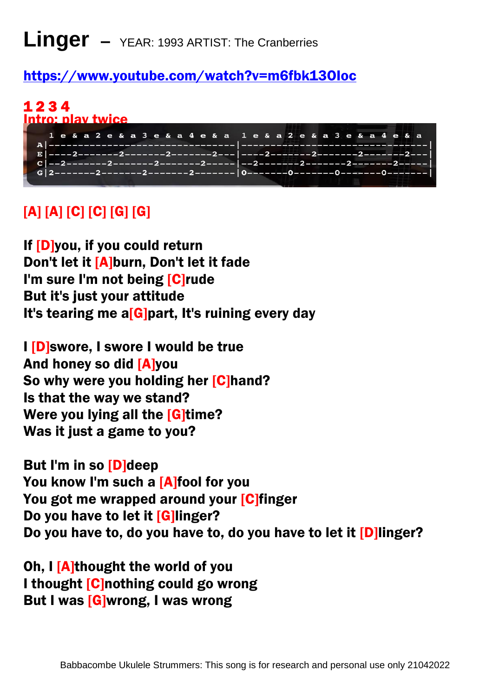## **Linger –** YEAR: 1993 ARTIST: The Cranberries

#### <https://www.youtube.com/watch?v=m6fbk13OIoc>

#### 1 2 3 4 Intro: play twice

| 1 e & a 2 e & a 3 e & a 4 e & a 1 e & a 2 e & a 3 e & a 4 e & a |  |
|-----------------------------------------------------------------|--|
|                                                                 |  |
|                                                                 |  |
|                                                                 |  |
|                                                                 |  |
|                                                                 |  |
|                                                                 |  |
|                                                                 |  |

## [A] [A] [C] [C] [G] [G]

If [D]you, if you could return Don't let it [A]burn, Don't let it fade I'm sure I'm not being [C]rude But it's just your attitude It's tearing me a<sup>[G]</sup>part, It's ruining every day

I [D]swore, I swore I would be true And honey so did [A]you So why were you holding her [C]hand? Is that the way we stand? Were you lying all the **[G]time?** Was it just a game to you?

But I'm in so [D]deep You know I'm such a [A]fool for you You got me wrapped around your [C]finger Do you have to let it [G]linger? Do you have to, do you have to, do you have to let it [D]linger?

Oh, I [A]thought the world of you I thought [C]nothing could go wrong But I was [G]wrong, I was wrong